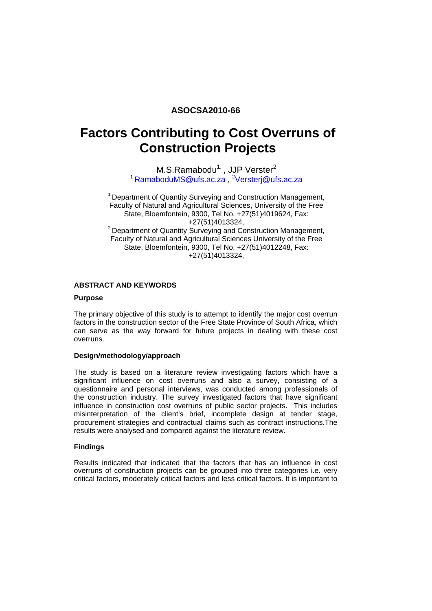## **ASOCSA2010-66**

# **Factors Contributing to Cost Overruns of Construction Projects**

M.S.Ramabodu<sup>1,</sup>, JJP Verster<sup>2</sup> <sup>1</sup> <u>RamaboduMS@ufs.ac.za, <sup>2</sup>Versterj@ufs.ac.za</u>

 $1$  Department of Quantity Surveying and Construction Management, Faculty of Natural and Agricultural Sciences, University of the Free State, Bloemfontein, 9300, Tel No. +27(51)4019624, Fax: +27(51)4013324,<br><sup>2</sup> Department of Quantity Surveying and Construction Management, Faculty of Natural and Agricultural Sciences University of the Free State, Bloemfontein, 9300, Tel No. +27(51)4012248, Fax: +27(51)4013324,

## **ABSTRACT AND KEYWORDS**

## **Purpose**

The primary objective of this study is to attempt to identify the major cost overrun factors in the construction sector of the Free State Province of South Africa, which can serve as the way forward for future projects in dealing with these cost overruns.

## **Design/methodology/approach**

The study is based on a literature review investigating factors which have a significant influence on cost overruns and also a survey, consisting of a questionnaire and personal interviews, was conducted among professionals of the construction industry. The survey investigated factors that have significant influence in construction cost overruns of public sector projects. This includes misinterpretation of the client's brief, incomplete design at tender stage, procurement strategies and contractual claims such as contract instructions.The results were analysed and compared against the literature review.

#### **Findings**

Results indicated that indicated that the factors that has an influence in cost overruns of construction projects can be grouped into three categories i.e. very critical factors, moderately critical factors and less critical factors. It is important to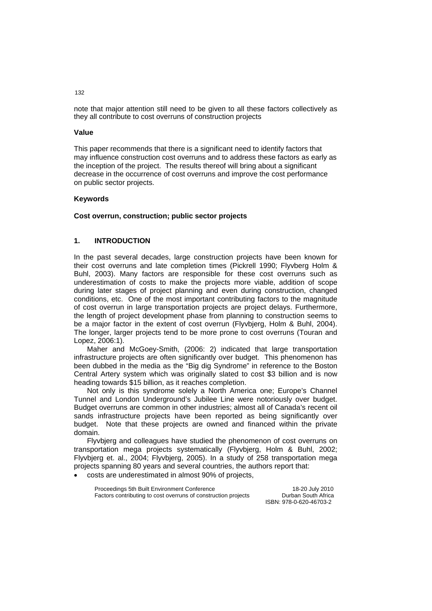note that major attention still need to be given to all these factors collectively as they all contribute to cost overruns of construction projects

## **Value**

This paper recommends that there is a significant need to identify factors that may influence construction cost overruns and to address these factors as early as the inception of the project. The results thereof will bring about a significant decrease in the occurrence of cost overruns and improve the cost performance on public sector projects.

## **Keywords**

## **Cost overrun, construction; public sector projects**

## **1. INTRODUCTION**

In the past several decades, large construction projects have been known for their cost overruns and late completion times (Pickrell 1990; Flyvberg Holm & Buhl, 2003). Many factors are responsible for these cost overruns such as underestimation of costs to make the projects more viable, addition of scope during later stages of project planning and even during construction, changed conditions, etc. One of the most important contributing factors to the magnitude of cost overrun in large transportation projects are project delays. Furthermore, the length of project development phase from planning to construction seems to be a major factor in the extent of cost overrun (Flyvbjerg, Holm & Buhl, 2004). The longer, larger projects tend to be more prone to cost overruns (Touran and Lopez, 2006:1).

Maher and McGoey-Smith, (2006: 2) indicated that large transportation infrastructure projects are often significantly over budget. This phenomenon has been dubbed in the media as the "Big dig Syndrome" in reference to the Boston Central Artery system which was originally slated to cost \$3 billion and is now heading towards \$15 billion, as it reaches completion.

Not only is this syndrome solely a North America one; Europe's Channel Tunnel and London Underground's Jubilee Line were notoriously over budget. Budget overruns are common in other industries; almost all of Canada's recent oil sands infrastructure projects have been reported as being significantly over budget. Note that these projects are owned and financed within the private domain.

Flyvbjerg and colleagues have studied the phenomenon of cost overruns on transportation mega projects systematically (Flyvbjerg, Holm & Buhl, 2002; Flyvbjerg et. al., 2004; Flyvbjerg, 2005). In a study of 258 transportation mega projects spanning 80 years and several countries, the authors report that:

• costs are underestimated in almost 90% of projects,

| Proceedings 5th Built Environment Conference                   | 18-20 July 2010         |
|----------------------------------------------------------------|-------------------------|
| Factors contributing to cost overruns of construction projects | Durban South Africa     |
|                                                                | ISBN: 978-0-620-46703-2 |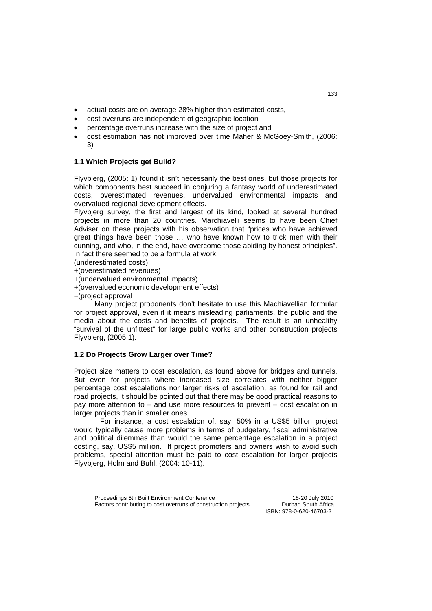- actual costs are on average 28% higher than estimated costs,
- cost overruns are independent of geographic location
- percentage overruns increase with the size of project and
- cost estimation has not improved over time Maher & McGoey-Smith, (2006: 3)

## **1.1 Which Projects get Build?**

Flyvbjerg, (2005: 1) found it isn't necessarily the best ones, but those projects for which components best succeed in conjuring a fantasy world of underestimated costs, overestimated revenues, undervalued environmental impacts and overvalued regional development effects.

Flyvbjerg survey, the first and largest of its kind, looked at several hundred projects in more than 20 countries. Marchiavelli seems to have been Chief Adviser on these projects with his observation that "prices who have achieved great things have been those … who have known how to trick men with their cunning, and who, in the end, have overcome those abiding by honest principles". In fact there seemed to be a formula at work:

(underestimated costs)

+(overestimated revenues)

+(undervalued environmental impacts)

+(overvalued economic development effects)

=(project approval

 Many project proponents don't hesitate to use this Machiavellian formular for project approval, even if it means misleading parliaments, the public and the media about the costs and benefits of projects. The result is an unhealthy "survival of the unfittest" for large public works and other construction projects Flyvbjerg, (2005:1).

## **1.2 Do Projects Grow Larger over Time?**

Project size matters to cost escalation, as found above for bridges and tunnels. But even for projects where increased size correlates with neither bigger percentage cost escalations nor larger risks of escalation, as found for rail and road projects, it should be pointed out that there may be good practical reasons to pay more attention to – and use more resources to prevent – cost escalation in larger projects than in smaller ones.

For instance, a cost escalation of, say, 50% in a US\$5 billion project would typically cause more problems in terms of budgetary, fiscal administrative and political dilemmas than would the same percentage escalation in a project costing, say, US\$5 million. If project promoters and owners wish to avoid such problems, special attention must be paid to cost escalation for larger projects Flyvbjerg, Holm and Buhl, (2004: 10-11).

| Proceedings 5th Built Environment Conference                   |  |
|----------------------------------------------------------------|--|
| Factors contributing to cost overruns of construction projects |  |

18-20 July 2010 **Durban South Africa** ISBN: 978-0-620-46703-2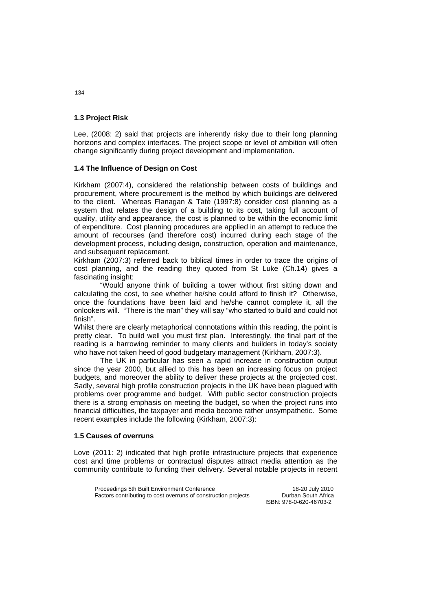## **1.3 Project Risk**

Lee, (2008: 2) said that projects are inherently risky due to their long planning horizons and complex interfaces. The project scope or level of ambition will often change significantly during project development and implementation.

## **1.4 The Influence of Design on Cost**

Kirkham (2007:4), considered the relationship between costs of buildings and procurement, where procurement is the method by which buildings are delivered to the client. Whereas Flanagan & Tate (1997:8) consider cost planning as a system that relates the design of a building to its cost, taking full account of quality, utility and appearance, the cost is planned to be within the economic limit of expenditure. Cost planning procedures are applied in an attempt to reduce the amount of recourses (and therefore cost) incurred during each stage of the development process, including design, construction, operation and maintenance, and subsequent replacement.

Kirkham (2007:3) referred back to biblical times in order to trace the origins of cost planning, and the reading they quoted from St Luke (Ch.14) gives a fascinating insight:

"Would anyone think of building a tower without first sitting down and calculating the cost, to see whether he/she could afford to finish it? Otherwise, once the foundations have been laid and he/she cannot complete it, all the onlookers will. "There is the man" they will say "who started to build and could not finish".

Whilst there are clearly metaphorical connotations within this reading, the point is pretty clear. To build well you must first plan. Interestingly, the final part of the reading is a harrowing reminder to many clients and builders in today's society who have not taken heed of good budgetary management (Kirkham, 2007:3).

The UK in particular has seen a rapid increase in construction output since the year 2000, but allied to this has been an increasing focus on project budgets, and moreover the ability to deliver these projects at the projected cost. Sadly, several high profile construction projects in the UK have been plagued with problems over programme and budget. With public sector construction projects there is a strong emphasis on meeting the budget, so when the project runs into financial difficulties, the taxpayer and media become rather unsympathetic. Some recent examples include the following (Kirkham, 2007:3):

## **1.5 Causes of overruns**

Love (2011: 2) indicated that high profile infrastructure projects that experience cost and time problems or contractual disputes attract media attention as the community contribute to funding their delivery. Several notable projects in recent

| Proceedings 5th Built Environment Conference                   | 18-20 July 2010         |
|----------------------------------------------------------------|-------------------------|
| Factors contributing to cost overruns of construction projects | Durban South Africa     |
|                                                                | ISBN: 978-0-620-46703-2 |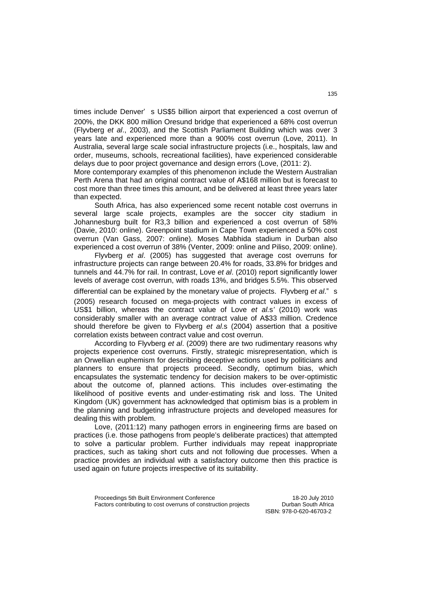times include Denver' s US\$5 billion airport that experienced a cost overrun of 200%, the DKK 800 million Oresund bridge that experienced a 68% cost overrun (Flyvberg *et al*., 2003), and the Scottish Parliament Building which was over 3 years late and experienced more than a 900% cost overrun (Love, 2011). In Australia, several large scale social infrastructure projects (i.e., hospitals, law and order, museums, schools, recreational facilities), have experienced considerable delays due to poor project governance and design errors (Love, (2011: 2).

More contemporary examples of this phenomenon include the Western Australian Perth Arena that had an original contract value of A\$168 million but is forecast to cost more than three times this amount, and be delivered at least three years later than expected.

South Africa, has also experienced some recent notable cost overruns in several large scale projects, examples are the soccer city stadium in Johannesburg built for R3,3 billion and experienced a cost overrun of 58% (Davie, 2010: online). Greenpoint stadium in Cape Town experienced a 50% cost overrun (Van Gass, 2007: online). Moses Mabhida stadium in Durban also experienced a cost overrun of 38% (Venter, 2009: online and Piliso, 2009: online).

Flyvberg *et al*. (2005) has suggested that average cost overruns for infrastructure projects can range between 20.4% for roads, 33.8% for bridges and tunnels and 44.7% for rail. In contrast, Love *et al*. (2010) report significantly lower levels of average cost overrun, with roads 13%, and bridges 5.5%. This observed

differential can be explained by the monetary value of projects. Flyvberg *et al*." s (2005) research focused on mega-projects with contract values in excess of US\$1 billion, whereas the contract value of Love *et al.*s*'* (2010) work was considerably smaller with an average contract value of A\$33 million. Credence should therefore be given to Flyvberg *et al*.s (2004) assertion that a positive correlation exists between contract value and cost overrun.

According to Flyvberg *et al*. (2009) there are two rudimentary reasons why projects experience cost overruns. Firstly, strategic misrepresentation, which is an Orwellian euphemism for describing deceptive actions used by politicians and planners to ensure that projects proceed. Secondly, optimum bias, which encapsulates the systematic tendency for decision makers to be over-optimistic about the outcome of, planned actions. This includes over-estimating the likelihood of positive events and under-estimating risk and loss. The United Kingdom (UK) government has acknowledged that optimism bias is a problem in the planning and budgeting infrastructure projects and developed measures for dealing this with problem.

Love, (2011:12) many pathogen errors in engineering firms are based on practices (i.e. those pathogens from people's deliberate practices) that attempted to solve a particular problem. Further individuals may repeat inappropriate practices, such as taking short cuts and not following due processes. When a practice provides an individual with a satisfactory outcome then this practice is used again on future projects irrespective of its suitability.

| Proceedings 5th Built Environment Conference                   | 18-20 July 2010     |
|----------------------------------------------------------------|---------------------|
| Factors contributing to cost overruns of construction projects | Durban South Africa |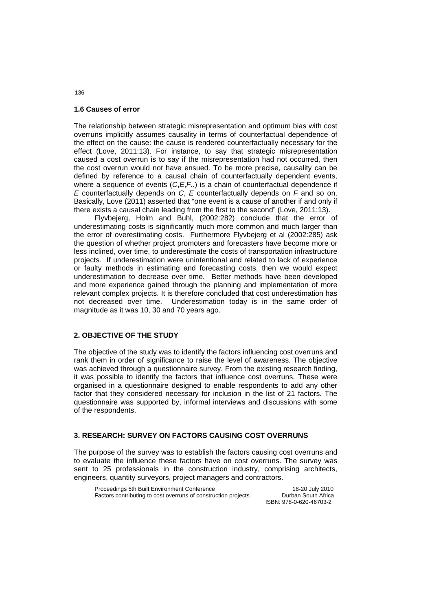## **1.6 Causes of error**

The relationship between strategic misrepresentation and optimum bias with cost overruns implicitly assumes causality in terms of counterfactual dependence of the effect on the cause: the cause is rendered counterfactually necessary for the effect (Love, 2011:13). For instance, to say that strategic misrepresentation caused a cost overrun is to say if the misrepresentation had not occurred, then the cost overrun would not have ensued. To be more precise, causality can be defined by reference to a causal chain of counterfactually dependent events, where a sequence of events (*C*,*E*,*F*..) is a chain of counterfactual dependence if *E* counterfactually depends on *C*, *E* counterfactually depends on *F* and so on. Basically, Love (2011) asserted that "one event is a cause of another if and only if there exists a causal chain leading from the first to the second" (Love, 2011:13).

Flyvbejerg, Holm and Buhl, (2002:282) conclude that the error of underestimating costs is significantly much more common and much larger than the error of overestimating costs. Furthermore Flyvbejerg et al (2002:285) ask the question of whether project promoters and forecasters have become more or less inclined, over time, to underestimate the costs of transportation infrastructure projects. If underestimation were unintentional and related to lack of experience or faulty methods in estimating and forecasting costs, then we would expect underestimation to decrease over time. Better methods have been developed and more experience gained through the planning and implementation of more relevant complex projects. It is therefore concluded that cost underestimation has not decreased over time. Underestimation today is in the same order of magnitude as it was 10, 30 and 70 years ago.

## **2. OBJECTIVE OF THE STUDY**

The objective of the study was to identify the factors influencing cost overruns and rank them in order of significance to raise the level of awareness. The objective was achieved through a questionnaire survey. From the existing research finding, it was possible to identify the factors that influence cost overruns. These were organised in a questionnaire designed to enable respondents to add any other factor that they considered necessary for inclusion in the list of 21 factors. The questionnaire was supported by, informal interviews and discussions with some of the respondents.

#### **3. RESEARCH: SURVEY ON FACTORS CAUSING COST OVERRUNS**

The purpose of the survey was to establish the factors causing cost overruns and to evaluate the influence these factors have on cost overruns. The survey was sent to 25 professionals in the construction industry, comprising architects, engineers, quantity surveyors, project managers and contractors.

| Proceedings 5th Built Environment Conference                   | 18-20 July 2010         |
|----------------------------------------------------------------|-------------------------|
| Factors contributing to cost overruns of construction projects | Durban South Africa     |
|                                                                | ISBN: 978-0-620-46703-2 |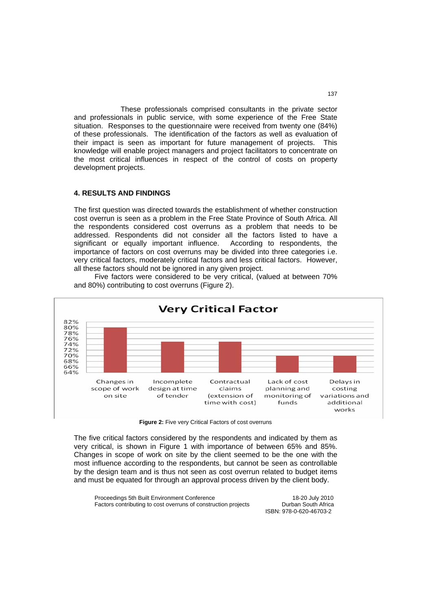These professionals comprised consultants in the private sector and professionals in public service, with some experience of the Free State situation. Responses to the questionnaire were received from twenty one (84%) of these professionals. The identification of the factors as well as evaluation of their impact is seen as important for future management of projects. This knowledge will enable project managers and project facilitators to concentrate on the most critical influences in respect of the control of costs on property development projects.

## **4. RESULTS AND FINDINGS**

The first question was directed towards the establishment of whether construction cost overrun is seen as a problem in the Free State Province of South Africa. All the respondents considered cost overruns as a problem that needs to be addressed. Respondents did not consider all the factors listed to have a significant or equally important influence. According to respondents, the importance of factors on cost overruns may be divided into three categories i.e. very critical factors, moderately critical factors and less critical factors. However, all these factors should not be ignored in any given project.

 Five factors were considered to be very critical, (valued at between 70% and 80%) contributing to cost overruns (Figure 2).



**Figure 2:** Five very Critical Factors of cost overruns

The five critical factors considered by the respondents and indicated by them as very critical, is shown in Figure 1 with importance of between 65% and 85%. Changes in scope of work on site by the client seemed to be the one with the most influence according to the respondents, but cannot be seen as controllable by the design team and is thus not seen as cost overrun related to budget items and must be equated for through an approval process driven by the client body.

| Proceedings 5th Built Environment Conference                   | 18-20 July 2010         |
|----------------------------------------------------------------|-------------------------|
| Factors contributing to cost overruns of construction projects | Durban South Africa     |
|                                                                | ISBN: 978-0-620-46703-2 |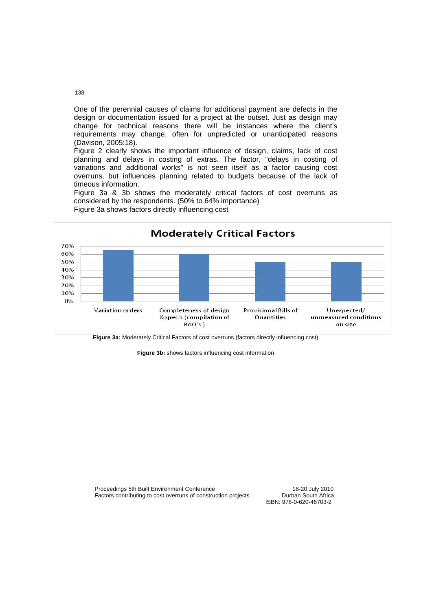One of the perennial causes of claims for additional payment are defects in the design or documentation issued for a project at the outset. Just as design may change for technical reasons there will be instances where the client's requirements may change, often for unpredicted or unanticipated reasons (Davison, 2005:18).

Figure 2 clearly shows the important influence of design, claims, lack of cost planning and delays in costing of extras. The factor, "delays in costing of variations and additional works" is not seen itself as a factor causing cost overruns, but influences planning related to budgets because of the lack of timeous information.

Figure 3a & 3b shows the moderately critical factors of cost overruns as considered by the respondents. (50% to 64% importance)



Figure 3a shows factors directly influencing cost

**Figure 3a:** Moderately Critical Factors of cost overruns (factors directly influencing cost)

**Figure 3b:** shows factors influencing cost information

Proceedings 5th Built Environment Conference<br>
Factors contributing to cost overruns of construction projects Durban South Africa Factors contributing to cost overruns of construction projects

ISBN: 978-0-620-46703-2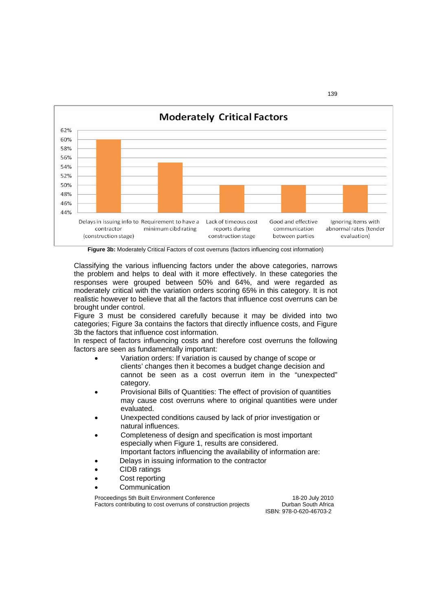

**Figure 3b:** Moderately Critical Factors of cost overruns (factors influencing cost information)

Classifying the various influencing factors under the above categories, narrows the problem and helps to deal with it more effectively. In these categories the responses were grouped between 50% and 64%, and were regarded as moderately critical with the variation orders scoring 65% in this category. It is not realistic however to believe that all the factors that influence cost overruns can be brought under control.

Figure 3 must be considered carefully because it may be divided into two categories; Figure 3a contains the factors that directly influence costs, and Figure 3b the factors that influence cost information.

In respect of factors influencing costs and therefore cost overruns the following factors are seen as fundamentally important:

- Variation orders: If variation is caused by change of scope or clients' changes then it becomes a budget change decision and cannot be seen as a cost overrun item in the "unexpected" category.
- Provisional Bills of Quantities: The effect of provision of quantities may cause cost overruns where to original quantities were under evaluated.
- Unexpected conditions caused by lack of prior investigation or natural influences.
- Completeness of design and specification is most important especially when Figure 1, results are considered. Important factors influencing the availability of information are:
- Delays in issuing information to the contractor
- CIDB ratings
- Cost reporting
- **Communication**

Proceedings 5th Built Environment Conference<br>
Factors contributing to cost overruns of construction projects Durban South Africa Factors contributing to cost overruns of construction projects

ISBN: 978-0-620-46703-2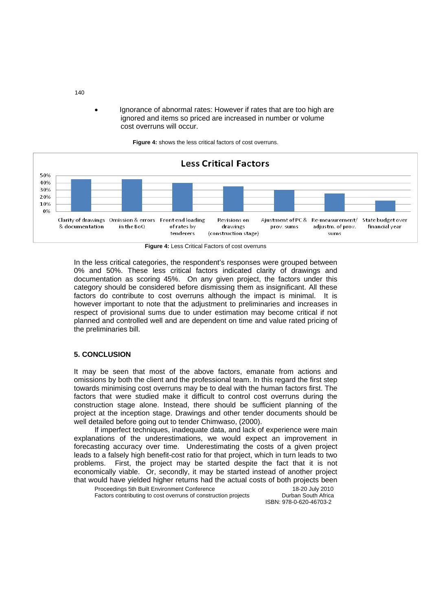• Ignorance of abnormal rates: However if rates that are too high are ignored and items so priced are increased in number or volume cost overruns will occur.



**Figure 4:** shows the less critical factors of cost overruns.

**Figure 4:** Less Critical Factors of cost overruns

In the less critical categories, the respondent's responses were grouped between 0% and 50%. These less critical factors indicated clarity of drawings and documentation as scoring 45%. On any given project, the factors under this category should be considered before dismissing them as insignificant. All these factors do contribute to cost overruns although the impact is minimal. It is however important to note that the adjustment to preliminaries and increases in respect of provisional sums due to under estimation may become critical if not planned and controlled well and are dependent on time and value rated pricing of the preliminaries bill.

## **5. CONCLUSION**

It may be seen that most of the above factors, emanate from actions and omissions by both the client and the professional team. In this regard the first step towards minimising cost overruns may be to deal with the human factors first. The factors that were studied make it difficult to control cost overruns during the construction stage alone. Instead, there should be sufficient planning of the project at the inception stage. Drawings and other tender documents should be well detailed before going out to tender Chimwaso, (2000).

If imperfect techniques, inadequate data, and lack of experience were main explanations of the underestimations, we would expect an improvement in forecasting accuracy over time. Underestimating the costs of a given project leads to a falsely high benefit-cost ratio for that project, which in turn leads to two problems. First, the project may be started despite the fact that it is not economically viable. Or, secondly, it may be started instead of another project that would have yielded higher returns had the actual costs of both projects been

Proceedings 5th Built Environment Conference<br>
Factors contributing to cost overruns of construction projects Durban South Africa Factors contributing to cost overruns of construction projects

ISBN: 978-0-620-46703-2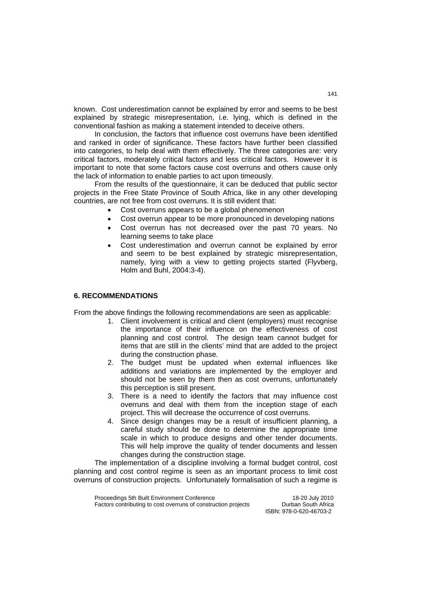known. Cost underestimation cannot be explained by error and seems to be best explained by strategic misrepresentation, i.e. lying, which is defined in the conventional fashion as making a statement intended to deceive others.

In conclusion, the factors that influence cost overruns have been identified and ranked in order of significance. These factors have further been classified into categories, to help deal with them effectively. The three categories are: very critical factors, moderately critical factors and less critical factors. However it is important to note that some factors cause cost overruns and others cause only the lack of information to enable parties to act upon timeously.

From the results of the questionnaire, it can be deduced that public sector projects in the Free State Province of South Africa, like in any other developing countries, are not free from cost overruns. It is still evident that:

- Cost overruns appears to be a global phenomenon
- Cost overrun appear to be more pronounced in developing nations
- Cost overrun has not decreased over the past 70 years. No learning seems to take place
- Cost underestimation and overrun cannot be explained by error and seem to be best explained by strategic misrepresentation, namely, lying with a view to getting projects started (Flyvberg, Holm and Buhl, 2004:3-4).

#### **6. RECOMMENDATIONS**

From the above findings the following recommendations are seen as applicable:

- 1. Client involvement is critical and client (employers) must recognise the importance of their influence on the effectiveness of cost planning and cost control. The design team cannot budget for items that are still in the clients' mind that are added to the project during the construction phase.
- 2. The budget must be updated when external influences like additions and variations are implemented by the employer and should not be seen by them then as cost overruns, unfortunately this perception is still present.
- 3. There is a need to identify the factors that may influence cost overruns and deal with them from the inception stage of each project. This will decrease the occurrence of cost overruns.
- 4. Since design changes may be a result of insufficient planning, a careful study should be done to determine the appropriate time scale in which to produce designs and other tender documents. This will help improve the quality of tender documents and lessen changes during the construction stage.

 The implementation of a discipline involving a formal budget control, cost planning and cost control regime is seen as an important process to limit cost overruns of construction projects. Unfortunately formalisation of such a regime is

| Proceedings 5th Built Environment Conference                   | 18-20 July 2010         |
|----------------------------------------------------------------|-------------------------|
| Factors contributing to cost overruns of construction projects | Durban South Africa     |
|                                                                | ISBN: 978-0-620-46703-2 |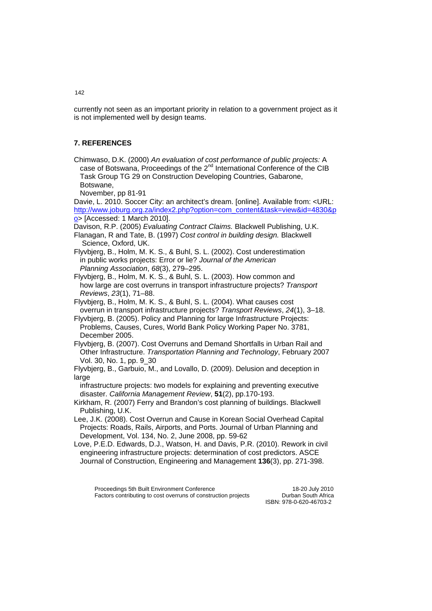currently not seen as an important priority in relation to a government project as it is not implemented well by design teams.

## **7. REFERENCES**

Chimwaso, D.K. (2000) *An evaluation of cost performance of public projects:* A case of Botswana, Proceedings of the 2<sup>nd</sup> International Conference of the CIB Task Group TG 29 on Construction Developing Countries, Gabarone, Botswane,

November, pp 81-91

Davie, L. 2010. Soccer City: an architect's dream. [online]. Available from: <URL: http://www.joburg.org.za/index2.php?option=com\_content&task=view&id=4830&p o> [Accessed: 1 March 2010].

 Davison, R.P. (2005) *Evaluating Contract Claims.* Blackwell Publishing, U.K. Flanagan, R and Tate, B. (1997) *Cost control in building design.* Blackwell Science, Oxford, UK.

Flyvbjerg, B., Holm, M. K. S., & Buhl, S. L. (2002). Cost underestimation in public works projects: Error or lie? *Journal of the American Planning Association*, *68*(3), 279–295.

Flyvbjerg, B., Holm, M. K. S., & Buhl, S. L. (2003). How common and how large are cost overruns in transport infrastructure projects? *Transport Reviews*, *23*(1), 71–88.

Flyvbjerg, B., Holm, M. K. S., & Buhl, S. L. (2004). What causes cost overrun in transport infrastructure projects? *Transport Reviews*, *24*(1), 3–18.

Flyvbjerg, B. (2005). Policy and Planning for large Infrastructure Projects: Problems, Causes, Cures, World Bank Policy Working Paper No. 3781, December 2005.

Flyvbjerg, B. (2007). Cost Overruns and Demand Shortfalls in Urban Rail and Other Infrastructure. *Transportation Planning and Technology*, February 2007 Vol. 30, No. 1, pp. 9\_30

Flyvbjerg, B., Garbuio, M., and Lovallo, D. (2009). Delusion and deception in large

 infrastructure projects: two models for explaining and preventing executive disaster. *California Management Review*, **51**(2), pp.170-193.

Kirkham, R. (2007) Ferry and Brandon's cost planning of buildings. Blackwell Publishing, U.K.

Lee, J.K. (2008). Cost Overrun and Cause in Korean Social Overhead Capital Projects: Roads, Rails, Airports, and Ports. Journal of Urban Planning and Development, Vol. 134, No. 2, June 2008, pp. 59-62

Love, P.E.D. Edwards, D.J., Watson, H. and Davis, P.R. (2010). Rework in civil engineering infrastructure projects: determination of cost predictors. ASCE Journal of Construction, Engineering and Management **136**(3), pp. 271-398.

Proceedings 5th Built Environment Conference<br>
Factors contributing to cost overruns of construction projects<br>
Durban South Africa Factors contributing to cost overruns of construction projects ISBN: 978-0-620-46703-2